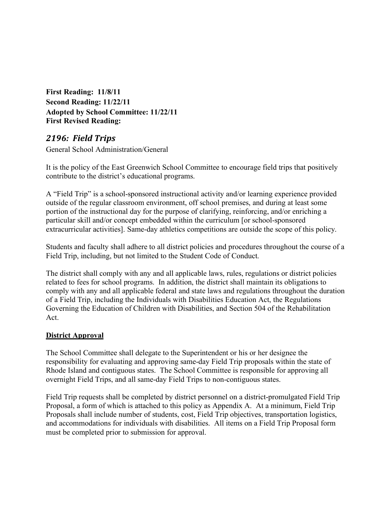**First Reading: 11/8/11 Second Reading: 11/22/11 Adopted by School Committee: 11/22/11 First Revised Reading:** 

# *2196: Field Trips*

General School Administration/General

It is the policy of the East Greenwich School Committee to encourage field trips that positively contribute to the district's educational programs.

A "Field Trip" is a school-sponsored instructional activity and/or learning experience provided outside of the regular classroom environment, off school premises, and during at least some portion of the instructional day for the purpose of clarifying, reinforcing, and/or enriching a particular skill and/or concept embedded within the curriculum [or school-sponsored extracurricular activities]. Same-day athletics competitions are outside the scope of this policy.

Students and faculty shall adhere to all district policies and procedures throughout the course of a Field Trip, including, but not limited to the Student Code of Conduct.

The district shall comply with any and all applicable laws, rules, regulations or district policies related to fees for school programs. In addition, the district shall maintain its obligations to comply with any and all applicable federal and state laws and regulations throughout the duration of a Field Trip, including the Individuals with Disabilities Education Act, the Regulations Governing the Education of Children with Disabilities, and Section 504 of the Rehabilitation Act.

#### **District Approval**

The School Committee shall delegate to the Superintendent or his or her designee the responsibility for evaluating and approving same-day Field Trip proposals within the state of Rhode Island and contiguous states. The School Committee is responsible for approving all overnight Field Trips, and all same-day Field Trips to non-contiguous states.

Field Trip requests shall be completed by district personnel on a district-promulgated Field Trip Proposal, a form of which is attached to this policy as Appendix A. At a minimum, Field Trip Proposals shall include number of students, cost, Field Trip objectives, transportation logistics, and accommodations for individuals with disabilities. All items on a Field Trip Proposal form must be completed prior to submission for approval.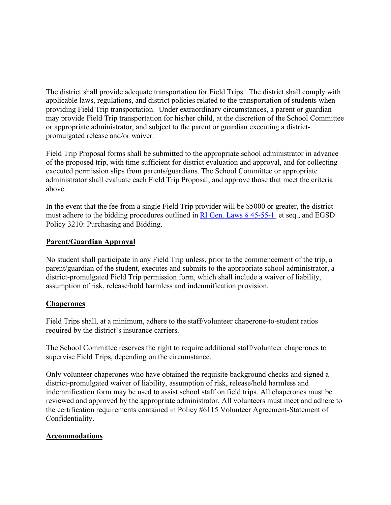The district shall provide adequate transportation for Field Trips. The district shall comply with applicable laws, regulations, and district policies related to the transportation of students when providing Field Trip transportation. Under extraordinary circumstances, a parent or guardian may provide Field Trip transportation for his/her child, at the discretion of the School Committee or appropriate administrator, and subject to the parent or guardian executing a districtpromulgated release and/or waiver.

Field Trip Proposal forms shall be submitted to the appropriate school administrator in advance of the proposed trip, with time sufficient for district evaluation and approval, and for collecting executed permission slips from parents/guardians. The School Committee or appropriate administrator shall evaluate each Field Trip Proposal, and approve those that meet the criteria above.

In the event that the fee from a single Field Trip provider will be \$5000 or greater, the district must adhere to the bidding procedures outlined in RI Gen. Laws  $\&$  45-55-1 et seq., and EGSD Policy 3210: Purchasing and Bidding.

#### **Parent/Guardian Approval**

No student shall participate in any Field Trip unless, prior to the commencement of the trip, a parent/guardian of the student, executes and submits to the appropriate school administrator, a district-promulgated Field Trip permission form, which shall include a waiver of liability, assumption of risk, release/hold harmless and indemnification provision.

#### **Chaperones**

Field Trips shall, at a minimum, adhere to the staff/volunteer chaperone-to-student ratios required by the district's insurance carriers.

The School Committee reserves the right to require additional staff/volunteer chaperones to supervise Field Trips, depending on the circumstance.

Only volunteer chaperones who have obtained the requisite background checks and signed a district-promulgated waiver of liability, assumption of risk, release/hold harmless and indemnification form may be used to assist school staff on field trips. All chaperones must be reviewed and approved by the appropriate administrator. All volunteers must meet and adhere to the certification requirements contained in Policy #6115 Volunteer Agreement-Statement of Confidentiality.

#### **Accommodations**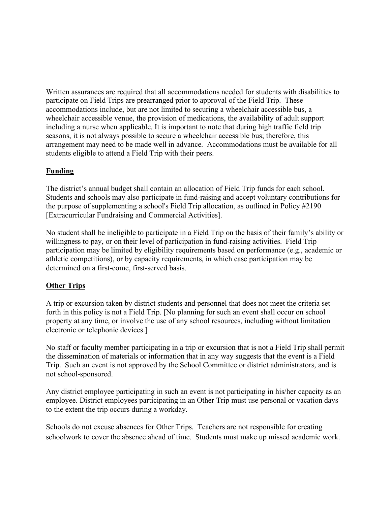Written assurances are required that all accommodations needed for students with disabilities to participate on Field Trips are prearranged prior to approval of the Field Trip. These accommodations include, but are not limited to securing a wheelchair accessible bus, a wheelchair accessible venue, the provision of medications, the availability of adult support including a nurse when applicable. It is important to note that during high traffic field trip seasons, it is not always possible to secure a wheelchair accessible bus; therefore, this arrangement may need to be made well in advance. Accommodations must be available for all students eligible to attend a Field Trip with their peers.

### **Funding**

The district's annual budget shall contain an allocation of Field Trip funds for each school. Students and schools may also participate in fund-raising and accept voluntary contributions for the purpose of supplementing a school's Field Trip allocation, as outlined in Policy #2190 [Extracurricular Fundraising and Commercial Activities].

No student shall be ineligible to participate in a Field Trip on the basis of their family's ability or willingness to pay, or on their level of participation in fund-raising activities. Field Trip participation may be limited by eligibility requirements based on performance (e.g., academic or athletic competitions), or by capacity requirements, in which case participation may be determined on a first-come, first-served basis.

#### **Other Trips**

A trip or excursion taken by district students and personnel that does not meet the criteria set forth in this policy is not a Field Trip. [No planning for such an event shall occur on school property at any time, or involve the use of any school resources, including without limitation electronic or telephonic devices.]

No staff or faculty member participating in a trip or excursion that is not a Field Trip shall permit the dissemination of materials or information that in any way suggests that the event is a Field Trip. Such an event is not approved by the School Committee or district administrators, and is not school-sponsored.

Any district employee participating in such an event is not participating in his/her capacity as an employee. District employees participating in an Other Trip must use personal or vacation days to the extent the trip occurs during a workday.

Schools do not excuse absences for Other Trips. Teachers are not responsible for creating schoolwork to cover the absence ahead of time. Students must make up missed academic work.